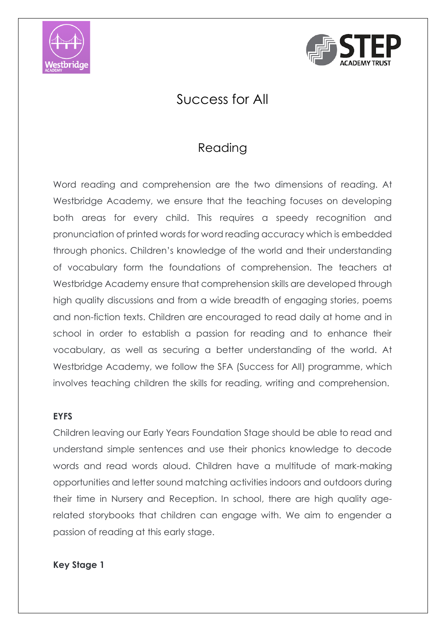



# Success for All

## Reading

Word reading and comprehension are the two dimensions of reading. At Westbridge Academy, we ensure that the teaching focuses on developing both areas for every child. This requires a speedy recognition and pronunciation of printed words for word reading accuracy which is embedded through phonics. Children's knowledge of the world and their understanding of vocabulary form the foundations of comprehension. The teachers at Westbridge Academy ensure that comprehension skills are developed through high quality discussions and from a wide breadth of engaging stories, poems and non-fiction texts. Children are encouraged to read daily at home and in school in order to establish a passion for reading and to enhance their vocabulary, as well as securing a better understanding of the world. At Westbridge Academy, we follow the SFA (Success for All) programme, which involves teaching children the skills for reading, writing and comprehension.

#### **EYFS**

Children leaving our Early Years Foundation Stage should be able to read and understand simple sentences and use their phonics knowledge to decode words and read words aloud. Children have a multitude of mark-making opportunities and letter sound matching activities indoors and outdoors during their time in Nursery and Reception. In school, there are high quality agerelated storybooks that children can engage with. We aim to engender a passion of reading at this early stage.

#### **Key Stage 1**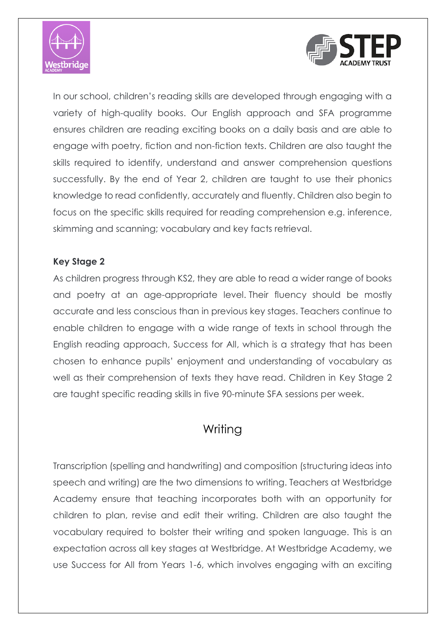



In our school, children's reading skills are developed through engaging with a variety of high-quality books. Our English approach and SFA programme ensures children are reading exciting books on a daily basis and are able to engage with poetry, fiction and non-fiction texts. Children are also taught the skills required to identify, understand and answer comprehension questions successfully. By the end of Year 2, children are taught to use their phonics knowledge to read confidently, accurately and fluently. Children also begin to focus on the specific skills required for reading comprehension e.g. inference, skimming and scanning; vocabulary and key facts retrieval.

### **Key Stage 2**

As children progress through KS2, they are able to read a wider range of books and poetry at an age-appropriate level. Their fluency should be mostly accurate and less conscious than in previous key stages. Teachers continue to enable children to engage with a wide range of texts in school through the English reading approach, Success for All, which is a strategy that has been chosen to enhance pupils' enjoyment and understanding of vocabulary as well as their comprehension of texts they have read. Children in Key Stage 2 are taught specific reading skills in five 90-minute SFA sessions per week.

## Writing

Transcription (spelling and handwriting) and composition (structuring ideas into speech and writing) are the two dimensions to writing. Teachers at Westbridge Academy ensure that teaching incorporates both with an opportunity for children to plan, revise and edit their writing. Children are also taught the vocabulary required to bolster their writing and spoken language. This is an expectation across all key stages at Westbridge. At Westbridge Academy, we use Success for All from Years 1-6, which involves engaging with an exciting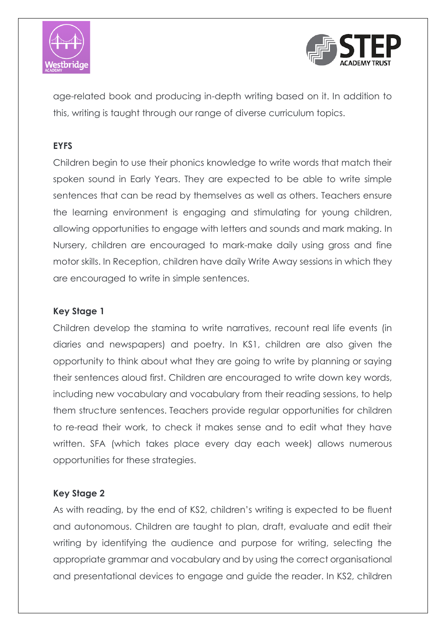



age-related book and producing in-depth writing based on it. In addition to this, writing is taught through our range of diverse curriculum topics.

#### **EYFS**

Children begin to use their phonics knowledge to write words that match their spoken sound in Early Years. They are expected to be able to write simple sentences that can be read by themselves as well as others. Teachers ensure the learning environment is engaging and stimulating for young children, allowing opportunities to engage with letters and sounds and mark making. In Nursery, children are encouraged to mark-make daily using gross and fine motor skills. In Reception, children have daily Write Away sessions in which they are encouraged to write in simple sentences.

#### **Key Stage 1**

Children develop the stamina to write narratives, recount real life events (in diaries and newspapers) and poetry. In KS1, children are also given the opportunity to think about what they are going to write by planning or saying their sentences aloud first. Children are encouraged to write down key words, including new vocabulary and vocabulary from their reading sessions, to help them structure sentences. Teachers provide regular opportunities for children to re-read their work, to check it makes sense and to edit what they have written. SFA (which takes place every day each week) allows numerous opportunities for these strategies.

#### **Key Stage 2**

As with reading, by the end of KS2, children's writing is expected to be fluent and autonomous. Children are taught to plan, draft, evaluate and edit their writing by identifying the audience and purpose for writing, selecting the appropriate grammar and vocabulary and by using the correct organisational and presentational devices to engage and guide the reader. In KS2, children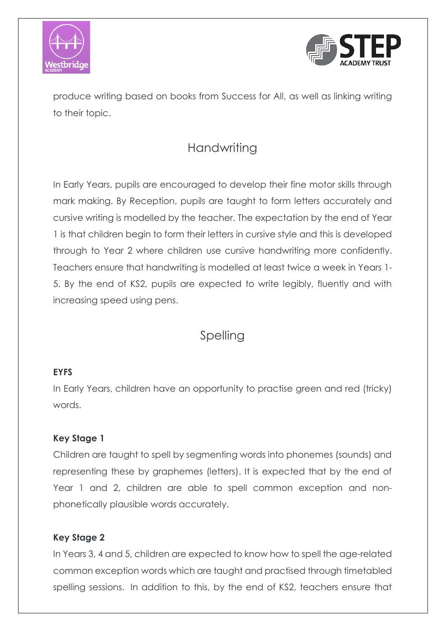



produce writing based on books from Success for All, as well as linking writing to their topic.

# **Handwriting**

In Early Years, pupils are encouraged to develop their fine motor skills through mark making. By Reception, pupils are taught to form letters accurately and cursive writing is modelled by the teacher. The expectation by the end of Year 1 is that children begin to form their letters in cursive style and this is developed through to Year 2 where children use cursive handwriting more confidently. Teachers ensure that handwriting is modelled at least twice a week in Years 1- 5. By the end of KS2, pupils are expected to write legibly, fluently and with increasing speed using pens.

## Spelling

### **EYFS**

In Early Years, children have an opportunity to practise green and red (tricky) words.

### **Key Stage 1**

Children are taught to spell by segmenting words into phonemes (sounds) and representing these by graphemes (letters). It is expected that by the end of Year 1 and 2, children are able to spell common exception and nonphonetically plausible words accurately.

### **Key Stage 2**

In Years 3, 4 and 5, children are expected to know how to spell the age-related common exception words which are taught and practised through timetabled spelling sessions. In addition to this, by the end of KS2, teachers ensure that